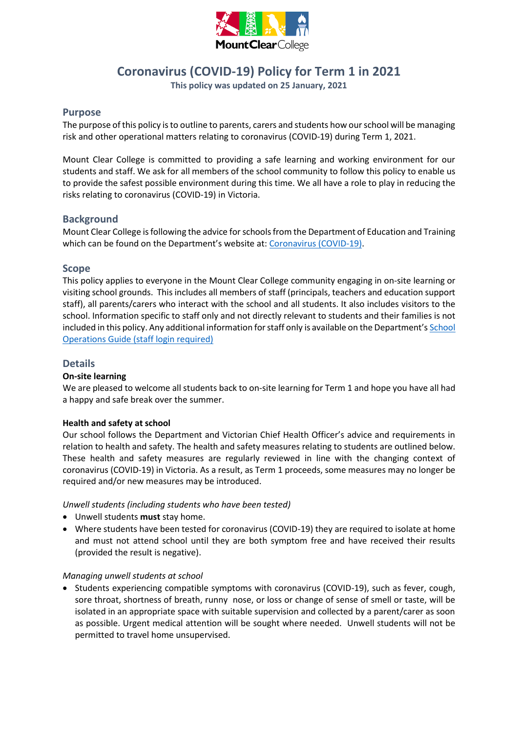

# **Coronavirus (COVID-19) Policy for Term 1 in 2021**

**This policy was updated on 25 January, 2021**

# **Purpose**

The purpose of this policy is to outline to parents, carers and students how our school will be managing risk and other operational matters relating to coronavirus (COVID-19) during Term 1, 2021.

Mount Clear College is committed to providing a safe learning and working environment for our students and staff. We ask for all members of the school community to follow this policy to enable us to provide the safest possible environment during this time. We all have a role to play in reducing the risks relating to coronavirus (COVID-19) in Victoria.

## **Background**

Mount Clear College is following the advice for schoolsfrom the Department of Education and Training which can be found on the Department's website at: [Coronavirus \(COVID-19\).](https://www.education.vic.gov.au/school/Pages/coronavirus-advice-schools.aspx)

## **Scope**

This policy applies to everyone in the Mount Clear College community engaging in on-site learning or visiting school grounds. This includes all members of staff (principals, teachers and education support staff), all parents/carers who interact with the school and all students. It also includes visitors to the school. Information specific to staff only and not directly relevant to students and their families is not included in this policy. Any additional information for staff only is available on the Department's [School](https://edugate.eduweb.vic.gov.au/sites/i/Pages/production.aspx#/app/content/3336/)  [Operations Guide \(staff login required\)](https://edugate.eduweb.vic.gov.au/sites/i/Pages/production.aspx#/app/content/3336/)

## **Details**

#### **On-site learning**

We are pleased to welcome all students back to on-site learning for Term 1 and hope you have all had a happy and safe break over the summer.

#### **Health and safety at school**

Our school follows the Department and Victorian Chief Health Officer's advice and requirements in relation to health and safety. The health and safety measures relating to students are outlined below. These health and safety measures are regularly reviewed in line with the changing context of coronavirus (COVID-19) in Victoria. As a result, as Term 1 proceeds, some measures may no longer be required and/or new measures may be introduced.

*Unwell students (including students who have been tested)*

- Unwell students **must** stay home.
- Where students have been tested for coronavirus (COVID-19) they are required to isolate at home and must not attend school until they are both symptom free and have received their results (provided the result is negative).

#### *Managing unwell students at school*

• Students experiencing compatible symptoms with coronavirus (COVID-19), such as fever, cough, sore throat, shortness of breath, runny nose, or loss or change of sense of smell or taste, will be isolated in an appropriate space with suitable supervision and collected by a parent/carer as soon as possible. Urgent medical attention will be sought where needed. Unwell students will not be permitted to travel home unsupervised.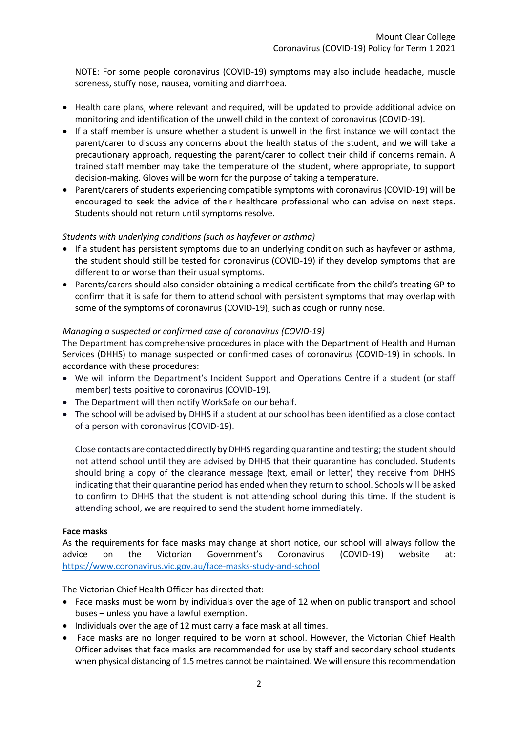NOTE: For some people coronavirus (COVID-19) symptoms may also include headache, muscle soreness, stuffy nose, nausea, vomiting and diarrhoea.

- Health care plans, where relevant and required, will be updated to provide additional advice on monitoring and identification of the unwell child in the context of coronavirus (COVID-19).
- If a staff member is unsure whether a student is unwell in the first instance we will contact the parent/carer to discuss any concerns about the health status of the student, and we will take a precautionary approach, requesting the parent/carer to collect their child if concerns remain. A trained staff member may take the temperature of the student, where appropriate, to support decision-making. Gloves will be worn for the purpose of taking a temperature.
- Parent/carers of students experiencing compatible symptoms with coronavirus (COVID-19) will be encouraged to seek the advice of their healthcare professional who can advise on next steps. Students should not return until symptoms resolve.

## *Students with underlying conditions (such as hayfever or asthma)*

- If a student has persistent symptoms due to an underlying condition such as hayfever or asthma, the student should still be tested for coronavirus (COVID-19) if they develop symptoms that are different to or worse than their usual symptoms.
- Parents/carers should also consider obtaining a medical certificate from the child's treating GP to confirm that it is safe for them to attend school with persistent symptoms that may overlap with some of the symptoms of coronavirus (COVID-19), such as cough or runny nose.

## *Managing a suspected or confirmed case of coronavirus (COVID-19)*

The Department has comprehensive procedures in place with the Department of Health and Human Services (DHHS) to manage suspected or confirmed cases of coronavirus (COVID-19) in schools. In accordance with these procedures:

- We will inform the Department's Incident Support and Operations Centre if a student (or staff member) tests positive to coronavirus (COVID-19).
- The Department will then notify WorkSafe on our behalf.
- The school will be advised by DHHS if a student at our school has been identified as a close contact of a person with coronavirus (COVID-19).

Close contacts are contacted directly by DHHS regarding quarantine and testing; the student should not attend school until they are advised by DHHS that their quarantine has concluded. Students should bring a copy of the clearance message (text, email or letter) they receive from DHHS indicating that their quarantine period has ended when they return to school. Schools will be asked to confirm to DHHS that the student is not attending school during this time. If the student is attending school, we are required to send the student home immediately.

#### **Face masks**

As the requirements for face masks may change at short notice, our school will always follow the advice on the Victorian Government's Coronavirus (COVID-19) website at: <https://www.coronavirus.vic.gov.au/face-masks-study-and-school>

The Victorian Chief Health Officer has directed that:

- Face masks must be worn by individuals over the age of 12 when on public transport and school buses – unless you have a lawful exemption.
- Individuals over the age of 12 must carry a face mask at all times.
- Face masks are no longer required to be worn at school. However, the Victorian Chief Health Officer advises that face masks are recommended for use by staff and secondary school students when physical distancing of 1.5 metres cannot be maintained. We will ensure this recommendation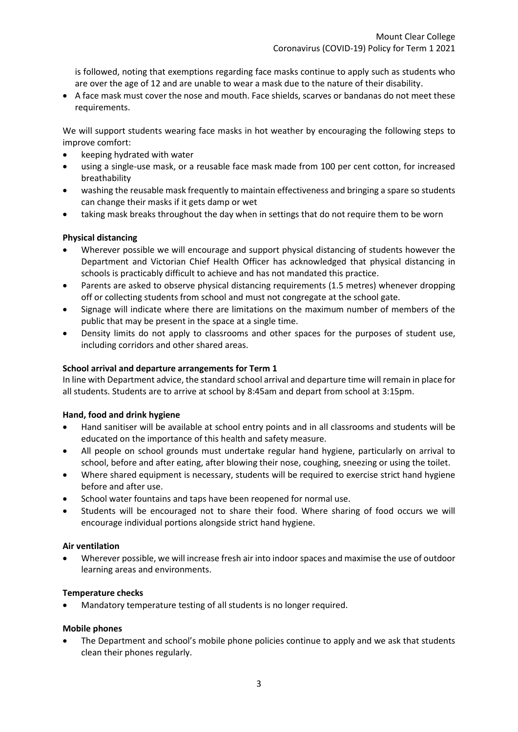is followed, noting that exemptions regarding face masks continue to apply such as students who are over the age of 12 and are unable to wear a mask due to the nature of their disability.

 A face mask must cover the nose and mouth. Face shields, scarves or bandanas do not meet these requirements.

We will support students wearing face masks in hot weather by encouraging the following steps to improve comfort:

- keeping hydrated with water
- using a single-use mask, or a reusable face mask made from 100 per cent cotton, for increased breathability
- washing the reusable mask frequently to maintain effectiveness and bringing a spare so students can change their masks if it gets damp or wet
- taking mask breaks throughout the day when in settings that do not require them to be worn

# **Physical distancing**

- Wherever possible we will encourage and support physical distancing of students however the Department and Victorian Chief Health Officer has acknowledged that physical distancing in schools is practicably difficult to achieve and has not mandated this practice.
- Parents are asked to observe physical distancing requirements (1.5 metres) whenever dropping off or collecting students from school and must not congregate at the school gate.
- Signage will indicate where there are limitations on the maximum number of members of the public that may be present in the space at a single time.
- Density limits do not apply to classrooms and other spaces for the purposes of student use, including corridors and other shared areas.

# **School arrival and departure arrangements for Term 1**

In line with Department advice, the standard school arrival and departure time will remain in place for all students. Students are to arrive at school by 8:45am and depart from school at 3:15pm.

# **Hand, food and drink hygiene**

- Hand sanitiser will be available at school entry points and in all classrooms and students will be educated on the importance of this health and safety measure.
- All people on school grounds must undertake regular hand hygiene, particularly on arrival to school, before and after eating, after blowing their nose, coughing, sneezing or using the toilet.
- Where shared equipment is necessary, students will be required to exercise strict hand hygiene before and after use.
- School water fountains and taps have been reopened for normal use.
- Students will be encouraged not to share their food. Where sharing of food occurs we will encourage individual portions alongside strict hand hygiene.

# **Air ventilation**

 Wherever possible, we will increase fresh air into indoor spaces and maximise the use of outdoor learning areas and environments.

# **Temperature checks**

Mandatory temperature testing of all students is no longer required.

#### **Mobile phones**

 The Department and school's mobile phone policies continue to apply and we ask that students clean their phones regularly.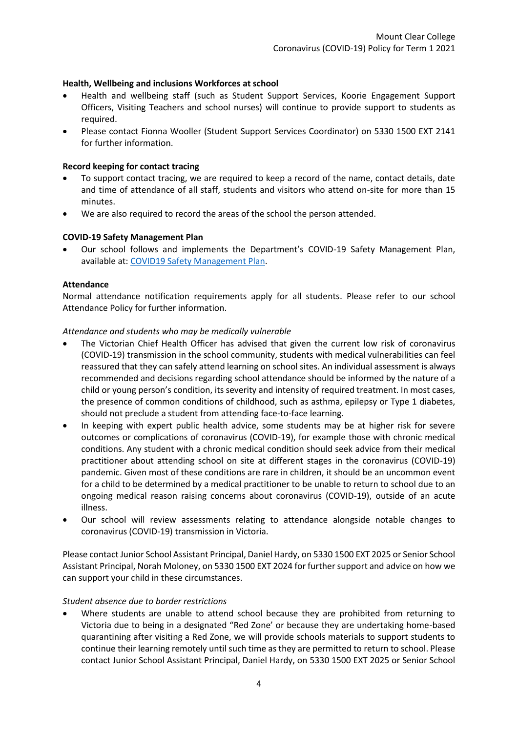## **Health, Wellbeing and inclusions Workforces at school**

- Health and wellbeing staff (such as Student Support Services, Koorie Engagement Support Officers, Visiting Teachers and school nurses) will continue to provide support to students as required.
- Please contact Fionna Wooller (Student Support Services Coordinator) on 5330 1500 EXT 2141 for further information.

#### **Record keeping for contact tracing**

- To support contact tracing, we are required to keep a record of the name, contact details, date and time of attendance of all staff, students and visitors who attend on-site for more than 15 minutes.
- We are also required to record the areas of the school the person attended.

## **COVID-19 Safety Management Plan**

 Our school follows and implements the Department's COVID-19 Safety Management Plan, available at: [COVID19 Safety Management Plan.](https://www.education.vic.gov.au/hrweb/Documents/OHS/COVID19SafetyManagementPlan.docx)

#### **Attendance**

Normal attendance notification requirements apply for all students. Please refer to our school Attendance Policy for further information.

#### *Attendance and students who may be medically vulnerable*

- The Victorian Chief Health Officer has advised that given the current low risk of coronavirus (COVID-19) transmission in the school community, students with medical vulnerabilities can feel reassured that they can safely attend learning on school sites. An individual assessment is always recommended and decisions regarding school attendance should be informed by the nature of a child or young person's condition, its severity and intensity of required treatment. In most cases, the presence of common conditions of childhood, such as asthma, epilepsy or Type 1 diabetes, should not preclude a student from attending face-to-face learning.
- In keeping with expert public health advice, some students may be at higher risk for severe outcomes or complications of coronavirus (COVID-19), for example those with chronic medical conditions. Any student with a chronic medical condition should seek advice from their medical practitioner about attending school on site at different stages in the coronavirus (COVID-19) pandemic. Given most of these conditions are rare in children, it should be an uncommon event for a child to be determined by a medical practitioner to be unable to return to school due to an ongoing medical reason raising concerns about coronavirus (COVID-19), outside of an acute illness.
- Our school will review assessments relating to attendance alongside notable changes to coronavirus (COVID-19) transmission in Victoria.

Please contact Junior School Assistant Principal, Daniel Hardy, on 5330 1500 EXT 2025 or Senior School Assistant Principal, Norah Moloney, on 5330 1500 EXT 2024 for further support and advice on how we can support your child in these circumstances.

#### *Student absence due to border restrictions*

 Where students are unable to attend school because they are prohibited from returning to Victoria due to being in a designated "Red Zone' or because they are undertaking home-based quarantining after visiting a Red Zone, we will provide schools materials to support students to continue their learning remotely until such time as they are permitted to return to school. Please contact Junior School Assistant Principal, Daniel Hardy, on 5330 1500 EXT 2025 or Senior School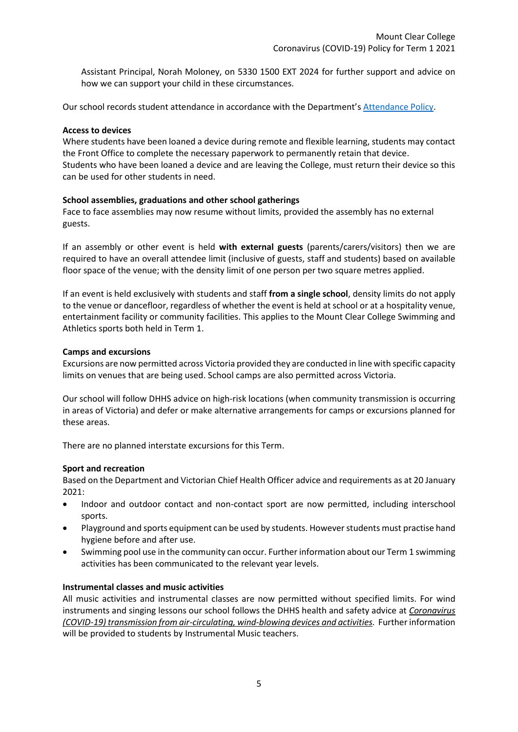Assistant Principal, Norah Moloney, on 5330 1500 EXT 2024 for further support and advice on how we can support your child in these circumstances.

Our school records student attendance in accordance with the Department'[s Attendance Policy.](https://www2.education.vic.gov.au/pal/attendance/policy)

#### **Access to devices**

Where students have been loaned a device during remote and flexible learning, students may contact the Front Office to complete the necessary paperwork to permanently retain that device. Students who have been loaned a device and are leaving the College, must return their device so this can be used for other students in need.

# **School assemblies, graduations and other school gatherings**

Face to face assemblies may now resume without limits, provided the assembly has no external guests.

If an assembly or other event is held **with external guests** (parents/carers/visitors) then we are required to have an overall attendee limit (inclusive of guests, staff and students) based on available floor space of the venue; with the density limit of one person per two square metres applied.

If an event is held exclusively with students and staff **from a single school**, density limits do not apply to the venue or dancefloor, regardless of whether the event is held at school or at a hospitality venue, entertainment facility or community facilities. This applies to the Mount Clear College Swimming and Athletics sports both held in Term 1.

## **Camps and excursions**

Excursions are now permitted across Victoria provided they are conducted in line with specific capacity limits on venues that are being used. School camps are also permitted across Victoria.

Our school will follow DHHS advice on high-risk locations (when community transmission is occurring in areas of Victoria) and defer or make alternative arrangements for camps or excursions planned for these areas.

There are no planned interstate excursions for this Term.

#### **Sport and recreation**

Based on the Department and Victorian Chief Health Officer advice and requirements as at 20 January 2021:

- Indoor and outdoor contact and non-contact sport are now permitted, including interschool sports.
- Playground and sports equipment can be used by students. However students must practise hand hygiene before and after use.
- Swimming pool use in the community can occur. Further information about our Term 1 swimming activities has been communicated to the relevant year levels.

## **Instrumental classes and music activities**

All music activities and instrumental classes are now permitted without specified limits. For wind instruments and singing lessons our school follows the DHHS health and safety advice at *[Coronavirus](https://www.dhhs.vic.gov.au/faq-covid-19-transmission-air-and-wind-moving-devices-doc)  [\(COVID-19\) transmission from air-circulating, wind-blowing devices and activities.](https://www.dhhs.vic.gov.au/faq-covid-19-transmission-air-and-wind-moving-devices-doc)* Further information will be provided to students by Instrumental Music teachers.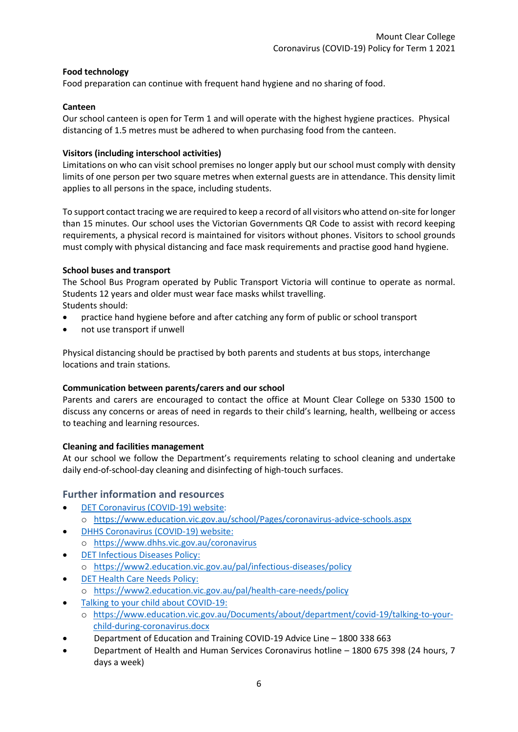# **Food technology**

Food preparation can continue with frequent hand hygiene and no sharing of food.

## **Canteen**

Our school canteen is open for Term 1 and will operate with the highest hygiene practices. Physical distancing of 1.5 metres must be adhered to when purchasing food from the canteen.

## **Visitors (including interschool activities)**

Limitations on who can visit school premises no longer apply but our school must comply with density limits of one person per two square metres when external guests are in attendance. This density limit applies to all persons in the space, including students.

To support contact tracing we are required to keep a record of all visitors who attend on-site for longer than 15 minutes. Our school uses the Victorian Governments QR Code to assist with record keeping requirements, a physical record is maintained for visitors without phones. Visitors to school grounds must comply with physical distancing and face mask requirements and practise good hand hygiene.

## **School buses and transport**

The School Bus Program operated by Public Transport Victoria will continue to operate as normal. Students 12 years and older must wear face masks whilst travelling. Students should:

- practice hand hygiene before and after catching any form of public or school transport
- not use transport if unwell

Physical distancing should be practised by both parents and students at bus stops, interchange locations and train stations.

# **Communication between parents/carers and our school**

Parents and carers are encouraged to contact the office at Mount Clear College on 5330 1500 to discuss any concerns or areas of need in regards to their child's learning, health, wellbeing or access to teaching and learning resources.

# **Cleaning and facilities management**

At our school we follow the Department's requirements relating to school cleaning and undertake daily end-of-school-day cleaning and disinfecting of high-touch surfaces.

# **Further information and resources**

- [DET Coronavirus \(COVID-19\) website:](https://education.vic.gov.au/about/department/Pages/coronavirus.aspx) o <https://www.education.vic.gov.au/school/Pages/coronavirus-advice-schools.aspx>
- [DHHS Coronavirus \(COVID-19\) website:](https://www.dhhs.vic.gov.au/coronavirus) o <https://www.dhhs.vic.gov.au/coronavirus>
- [DET Infectious Diseases Policy:](https://www2.education.vic.gov.au/pal/infectious-diseases/policy) o <https://www2.education.vic.gov.au/pal/infectious-diseases/policy>
- [DET Health Care Needs Policy:](https://www2.education.vic.gov.au/pal/health-care-needs/policy) o <https://www2.education.vic.gov.au/pal/health-care-needs/policy>
- [Talking to your child about COVID-19:](https://www.education.vic.gov.au/Documents/about/department/covid-19/talking-to-your-child-during-coronavirus.docx)
	- o [https://www.education.vic.gov.au/Documents/about/department/covid-19/talking-to-your](https://www.education.vic.gov.au/Documents/about/department/covid-19/talking-to-your-child-during-coronavirus.docx)[child-during-coronavirus.docx](https://www.education.vic.gov.au/Documents/about/department/covid-19/talking-to-your-child-during-coronavirus.docx)
- Department of Education and Training COVID-19 Advice Line 1800 338 663
- Department of Health and Human Services Coronavirus hotline 1800 675 398 (24 hours, 7 days a week)